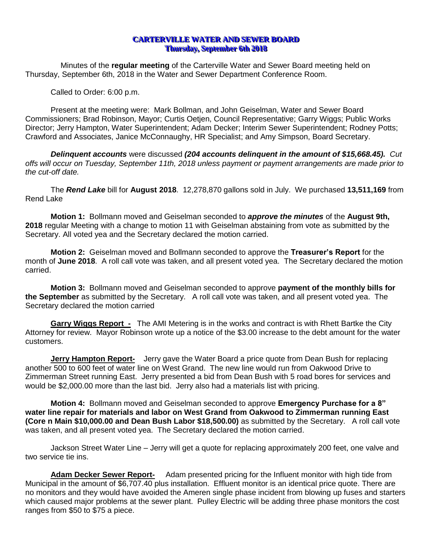## **CARTERVILLE WATER AND SEWER BOARD Thursday, September 6th 2018**

Minutes of the **regular meeting** of the Carterville Water and Sewer Board meeting held on Thursday, September 6th, 2018 in the Water and Sewer Department Conference Room.

Called to Order: 6:00 p.m.

Present at the meeting were: Mark Bollman, and John Geiselman, Water and Sewer Board Commissioners; Brad Robinson, Mayor; Curtis Oetjen, Council Representative; Garry Wiggs; Public Works Director; Jerry Hampton, Water Superintendent; Adam Decker; Interim Sewer Superintendent; Rodney Potts; Crawford and Associates, Janice McConnaughy, HR Specialist; and Amy Simpson, Board Secretary.

*Delinquent accounts* were discussed *(204 accounts delinquent in the amount of \$15,668.45). Cut offs will occur on Tuesday, September 11th, 2018 unless payment or payment arrangements are made prior to the cut-off date.*

The *Rend Lake* bill for **August 2018**. 12,278,870 gallons sold in July. We purchased **13,511,169** from Rend Lake

**Motion 1:** Bollmann moved and Geiselman seconded to *approve the minutes* of the **August 9th, 2018** regular Meeting with a change to motion 11 with Geiselman abstaining from vote as submitted by the Secretary. All voted yea and the Secretary declared the motion carried.

**Motion 2:** Geiselman moved and Bollmann seconded to approve the **Treasurer's Report** for the month of **June 2018**. A roll call vote was taken, and all present voted yea. The Secretary declared the motion carried.

**Motion 3:** Bollmann moved and Geiselman seconded to approve **payment of the monthly bills for the September** as submitted by the Secretary. A roll call vote was taken, and all present voted yea. The Secretary declared the motion carried

**Garry Wiggs Report -** The AMI Metering is in the works and contract is with Rhett Bartke the City Attorney for review. Mayor Robinson wrote up a notice of the \$3.00 increase to the debt amount for the water customers.

**Jerry Hampton Report-** Jerry gave the Water Board a price quote from Dean Bush for replacing another 500 to 600 feet of water line on West Grand. The new line would run from Oakwood Drive to Zimmerman Street running East. Jerry presented a bid from Dean Bush with 5 road bores for services and would be \$2,000.00 more than the last bid. Jerry also had a materials list with pricing.

**Motion 4:** Bollmann moved and Geiselman seconded to approve **Emergency Purchase for a 8" water line repair for materials and labor on West Grand from Oakwood to Zimmerman running East (Core n Main \$10,000.00 and Dean Bush Labor \$18,500.00)** as submitted by the Secretary. A roll call vote was taken, and all present voted yea. The Secretary declared the motion carried.

Jackson Street Water Line – Jerry will get a quote for replacing approximately 200 feet, one valve and two service tie ins.

**Adam Decker Sewer Report-** Adam presented pricing for the Influent monitor with high tide from Municipal in the amount of \$6,707.40 plus installation. Effluent monitor is an identical price quote. There are no monitors and they would have avoided the Ameren single phase incident from blowing up fuses and starters which caused major problems at the sewer plant. Pulley Electric will be adding three phase monitors the cost ranges from \$50 to \$75 a piece.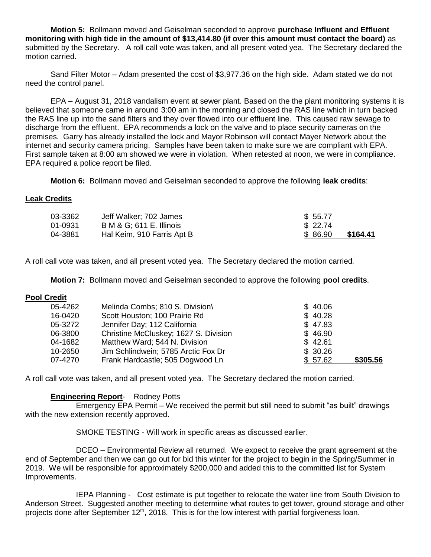**Motion 5:** Bollmann moved and Geiselman seconded to approve **purchase Influent and Effluent monitoring with high tide in the amount of \$13,414.80 (if over this amount must contact the board)** as submitted by the Secretary. A roll call vote was taken, and all present voted yea. The Secretary declared the motion carried.

Sand Filter Motor – Adam presented the cost of \$3,977.36 on the high side. Adam stated we do not need the control panel.

EPA – August 31, 2018 vandalism event at sewer plant. Based on the the plant monitoring systems it is believed that someone came in around 3:00 am in the morning and closed the RAS line which in turn backed the RAS line up into the sand filters and they over flowed into our effluent line. This caused raw sewage to discharge from the effluent. EPA recommends a lock on the valve and to place security cameras on the premises. Garry has already installed the lock and Mayor Robinson will contact Mayer Network about the internet and security camera pricing. Samples have been taken to make sure we are compliant with EPA. First sample taken at 8:00 am showed we were in violation. When retested at noon, we were in compliance. EPA required a police report be filed.

**Motion 6:** Bollmann moved and Geiselman seconded to approve the following **leak credits**:

## **Leak Credits**

| 03-3362 | Jeff Walker; 702 James              | \$ 55.77            |
|---------|-------------------------------------|---------------------|
| 01-0931 | <b>B M &amp; G; 611 E. Illinois</b> | \$22.74             |
| 04-3881 | Hal Keim, 910 Farris Apt B          | \$86.90<br>\$164.41 |

A roll call vote was taken, and all present voted yea. The Secretary declared the motion carried*.*

**Motion 7:** Bollmann moved and Geiselman seconded to approve the following **pool credits**.

## **Pool Credit**

| 05-4262 | Melinda Combs; 810 S. Division\       | \$40.06             |  |
|---------|---------------------------------------|---------------------|--|
| 16-0420 | Scott Houston; 100 Prairie Rd         | \$40.28             |  |
| 05-3272 | Jennifer Day; 112 California          | \$47.83             |  |
| 06-3800 | Christine McCluskey; 1627 S. Division | \$46.90             |  |
| 04-1682 | Matthew Ward; 544 N. Division         | \$42.61             |  |
| 10-2650 | Jim Schlindwein; 5785 Arctic Fox Dr   | \$30.26             |  |
| 07-4270 | Frank Hardcastle; 505 Dogwood Ln      | \$305.56<br>\$57.62 |  |

A roll call vote was taken, and all present voted yea. The Secretary declared the motion carried*.*

## **Engineering Report**- Rodney Potts

Emergency EPA Permit – We received the permit but still need to submit "as built" drawings with the new extension recently approved.

SMOKE TESTING - Will work in specific areas as discussed earlier.

DCEO – Environmental Review all returned. We expect to receive the grant agreement at the end of September and then we can go out for bid this winter for the project to begin in the Spring/Summer in 2019. We will be responsible for approximately \$200,000 and added this to the committed list for System Improvements.

IEPA Planning - Cost estimate is put together to relocate the water line from South Division to Anderson Street. Suggested another meeting to determine what routes to get tower, ground storage and other projects done after September 12<sup>th</sup>, 2018. This is for the low interest with partial forgiveness loan.